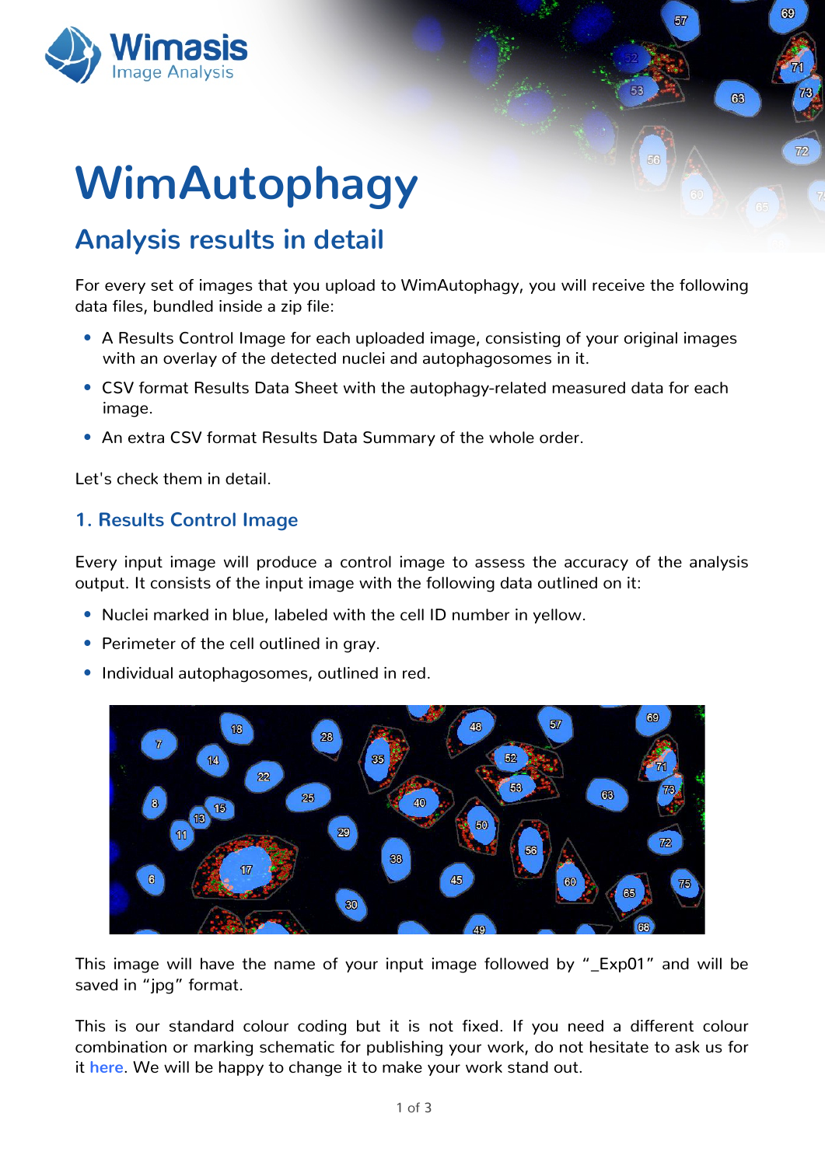# Z Ip Dxwskdj |

# Dqdo vlv uhvxow lq ghwdlo

I r uhyhu vhwr i lp dj hv wkdw | r x x s or dg wr Z lp Dxwr skdj | / | r x z loouhf hlyh wkh ir oor z lqj  $g$ dwd i lohv/ exqgohg lqvlgh d } ls i loh=

- $>$  D Uhvxow Fr qwur olp dj h ir uhdfk xsordghg lp dj h/fr qvlvwlqj ri |r xur ulj lqdolp dj hv z lwk da r yhuod| r i wkh ghwhf whg axfohl dag dxwr skdj r vr p hv la lw1
- $>$  FVY ir up dwUhvxow Gdwd Vkhhwz lwk wkh dxwr skdi | 0uhodwhg p hdvxuhg gdwd ir uhdf k lp dj h1
- > Dq h{ wud FVY ir up dwUhvxow Gdwd Vxp p du| r i wkh z kroh r ughu1

Ohw<sup>\*</sup> f khf n wkhp lq ghwdlo1

#### 41 Uhvxow Fr qwur olp di h

Hyhu| lqsxwlp dj h z loosur gxfh d fr qwur olp dj h wr dvvhvv wkh dff xudf | ri wkh dqdo| vlv r xwsxw1Lwfr qvlvwv r i wkh lqsxwlp djh z lwk wkh ir oor z lqjgdwd r xwolqhg r q lw∈

- $>$  Qxf ohl p dunhg lq eoxh/ odehohg z lwk wkh f hool $G$  qxp ehulq | hoor z 1
- > Shulp hwhur i wkh fhoor xwolqhg lq j ud| 1
- > Lqglylgxdodxwr skdj r vr p hv/ r xwolqhg lq uhg1

Why lp di h z lookdyh wkh qdp h ri | r xu lqsxwlp di h ir oor z hq e| \$bH{ s 34% dqq z looeh vdyhg lq \$msj %ir up dw1

Wklv lv r xu vwdqgdug fr or xu fr glqj exw lw lv qr w il{ hg 1 Li | r x q hhg d gliihuhqw fr or xu frp elqdwlr q r up dunlqj vfkhp dwlf ir usxedvklqj | r xuz r un/ gr qr wkhvlwdwh wr dvn xv ir u l[wkhuh](www.wimasis.com/CustomSolutions.php)1Z h z looeh kdss| wr f kdqj h lwwr p dnh | r xuz r un vwdqq r xwl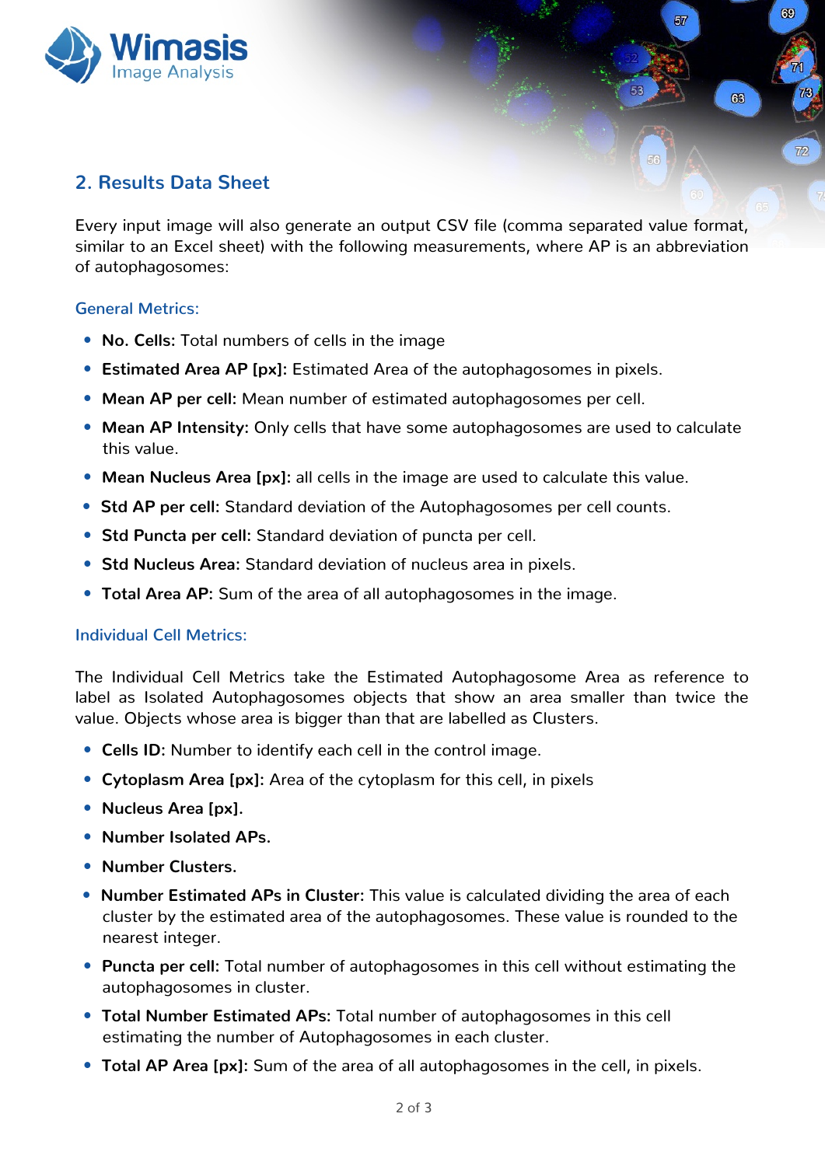

## **2. Results Data Sheet**

Every input image will also generate an output CSV file (comma separated value format, similar to an Excel sheet) with the following measurements, where AP is an abbreviation of autophagosomes:

69

 $63$ 

57

#### **General Metrics:**

- **No. Cells:** Total numbers of cells in the image
- **Estimated Area AP [px]:** Estimated Area of the autophagosomes in pixels.
- **Mean AP per cell:** Mean number of estimated autophagosomes per cell.
- **Mean AP Intensity:** Only cells that have some autophagosomes are used to calculate this value.
- **Mean Nucleus Area [px]:** all cells in the image are used to calculate this value.
- **Std AP** per cell: Standard deviation of the Autophagosomes per cell counts.
- **Std Puncta per cell:** Standard deviation of puncta per cell.
- **Std Nucleus Area:** Standard deviation of nucleus area in pixels.
- **Total Area AP:** Sum of the area of all autophagosomes in the image.

#### **Individual Cell Metrics:**

The Individual Cell Metrics take the Estimated Autophagosome Area as reference to label as Isolated Autophagosomes objects that show an area smaller than twice the value. Objects whose area is bigger than that are labelled as Clusters.

- **Cells ID:** Number to identify each cell in the control image.
- **Cytoplasm Area [px]:** Area of the cytoplasm for this cell, in pixels
- a **Nucleus Area [px].**
- a **Number Isolated APs.**
- a **Number Clusters.**
- a **Number Estimated APs in Cluster:** This value is calculated dividing the area of each cluster by the estimated area of the autophagosomes. These value is rounded to the nearest integer.
- **Puncta per cell:** Total number of autophagosomes in this cell without estimating the autophagosomes in cluster.
- a **Total Number Estimated APs:** Total number of autophagosomes in this cell estimating the number of Autophagosomes in each cluster.
- **Total AP Area [px]:** Sum of the area of all autophagosomes in the cell, in pixels.